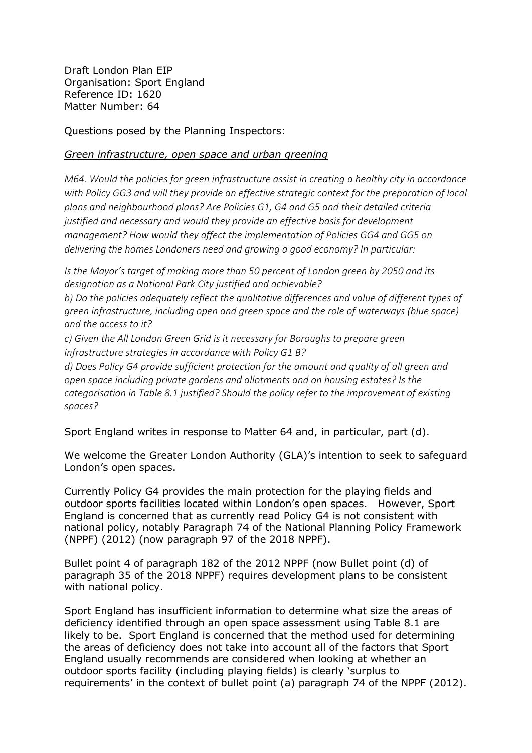Draft London Plan EIP Organisation: Sport England Reference ID: 1620 Matter Number: 64

Questions posed by the Planning Inspectors:

## *Green infrastructure, open space and urban greening*

*M64. Would the policies for green infrastructure assist in creating a healthy city in accordance with Policy GG3 and will they provide an effective strategic context for the preparation of local plans and neighbourhood plans? Are Policies G1, G4 and G5 and their detailed criteria justified and necessary and would they provide an effective basis for development management? How would they affect the implementation of Policies GG4 and GG5 on delivering the homes Londoners need and growing a good economy? In particular:* 

*Is the Mayor's target of making more than 50 percent of London green by 2050 and its designation as a National Park City justified and achievable?* 

*b) Do the policies adequately reflect the qualitative differences and value of different types of green infrastructure, including open and green space and the role of waterways (blue space) and the access to it?* 

*c) Given the All London Green Grid is it necessary for Boroughs to prepare green infrastructure strategies in accordance with Policy G1 B?* 

*d) Does Policy G4 provide sufficient protection for the amount and quality of all green and open space including private gardens and allotments and on housing estates? Is the categorisation in Table 8.1 justified? Should the policy refer to the improvement of existing spaces?* 

Sport England writes in response to Matter 64 and, in particular, part (d).

We welcome the Greater London Authority (GLA)'s intention to seek to safeguard London's open spaces.

Currently Policy G4 provides the main protection for the playing fields and outdoor sports facilities located within London's open spaces. However, Sport England is concerned that as currently read Policy G4 is not consistent with national policy, notably Paragraph 74 of the National Planning Policy Framework (NPPF) (2012) (now paragraph 97 of the 2018 NPPF).

Bullet point 4 of paragraph 182 of the 2012 NPPF (now Bullet point (d) of paragraph 35 of the 2018 NPPF) requires development plans to be consistent with national policy.

Sport England has insufficient information to determine what size the areas of deficiency identified through an open space assessment using Table 8.1 are likely to be. Sport England is concerned that the method used for determining the areas of deficiency does not take into account all of the factors that Sport England usually recommends are considered when looking at whether an outdoor sports facility (including playing fields) is clearly 'surplus to requirements' in the context of bullet point (a) paragraph 74 of the NPPF (2012).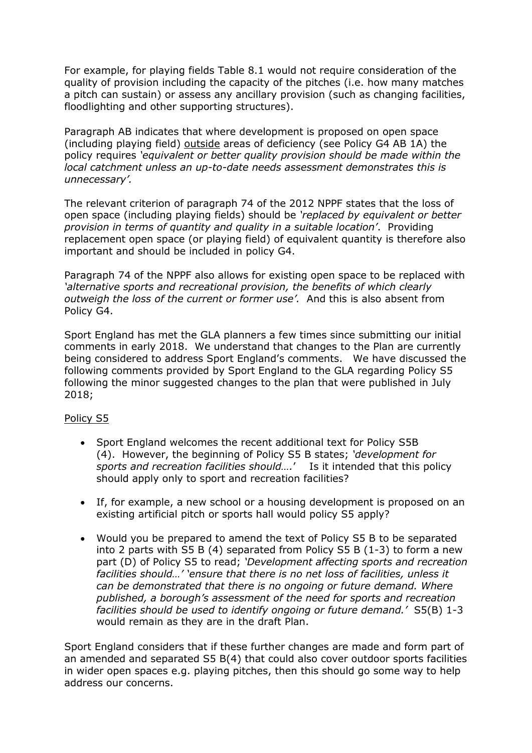For example, for playing fields Table 8.1 would not require consideration of the quality of provision including the capacity of the pitches (i.e. how many matches a pitch can sustain) or assess any ancillary provision (such as changing facilities, floodlighting and other supporting structures).

Paragraph AB indicates that where development is proposed on open space (including playing field) outside areas of deficiency (see Policy G4 AB 1A) the policy requires *'equivalent or better quality provision should be made within the local catchment unless an up-to-date needs assessment demonstrates this is unnecessary'.*

The relevant criterion of paragraph 74 of the 2012 NPPF states that the loss of open space (including playing fields) should be *'replaced by equivalent or better provision in terms of quantity and quality in a suitable location'*. Providing replacement open space (or playing field) of equivalent quantity is therefore also important and should be included in policy G4.

Paragraph 74 of the NPPF also allows for existing open space to be replaced with *'alternative sports and recreational provision, the benefits of which clearly outweigh the loss of the current or former use'.* And this is also absent from Policy G4.

Sport England has met the GLA planners a few times since submitting our initial comments in early 2018. We understand that changes to the Plan are currently being considered to address Sport England's comments. We have discussed the following comments provided by Sport England to the GLA regarding Policy S5 following the minor suggested changes to the plan that were published in July 2018;

## Policy S5

- Sport England welcomes the recent additional text for Policy S5B (4). However, the beginning of Policy S5 B states; *'development for sports and recreation facilities should….*' Is it intended that this policy should apply only to sport and recreation facilities?
- If, for example, a new school or a housing development is proposed on an existing artificial pitch or sports hall would policy S5 apply?
- Would you be prepared to amend the text of Policy S5 B to be separated into 2 parts with S5 B (4) separated from Policy S5 B (1-3) to form a new part (D) of Policy S5 to read; *'Development affecting sports and recreation facilities should…' 'ensure that there is no net loss of facilities, unless it can be demonstrated that there is no ongoing or future demand. Where published, a borough's assessment of the need for sports and recreation facilities should be used to identify ongoing or future demand.'* S5(B) 1-3 would remain as they are in the draft Plan.

Sport England considers that if these further changes are made and form part of an amended and separated S5 B(4) that could also cover outdoor sports facilities in wider open spaces e.g. playing pitches, then this should go some way to help address our concerns.